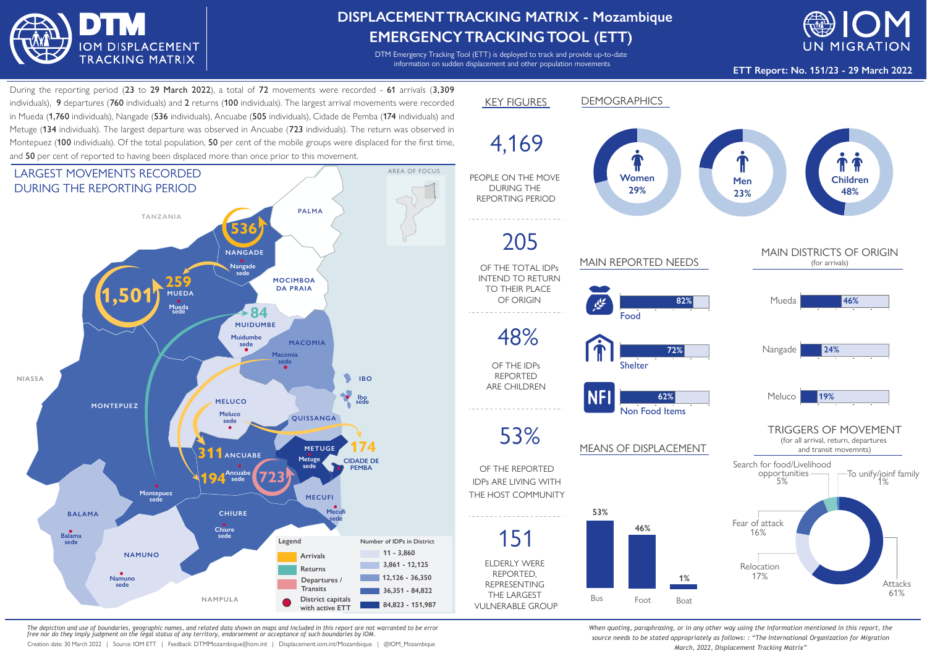

## **DISPLACEMENTTRACKING MATRIX - Mozambique EMERGENCYTRACKINGTOOL (ETT)**

DTM Emergency Tracking Tool (ETT) is deployed to track and provide up-to-date information on sudden displacement and other population movements



**ETT Report: No. 151/23 - 29 March 2022**

During the reporting period (23 to 29 March 2022), a total of 72 movements were recorded - 61 arrivals (3,309 individuals), 9 departures (760 individuals) and 2 returns (100 individuals). The largest arrival movements were recorded in Mueda (1,760 individuals), Nangade (536 individuals), Ancuabe (505 individuals), Cidade de Pemba (174 individuals) and Metuge (134 individuals). The largest departure was observed in Ancuabe (723 individuals). The return was observed in Montepuez (100 individuals). Of the total population, 50 per cent of the mobile groups were displaced for the first time, and 50 per cent of reported to having been displaced more than once prior to this movement.



*The depiction and use of boundaries, geographic names, and related data shown on maps and included in this report are not warranted to be error free nor do they imply judgment on the legal status of any territory, endorsement or acceptance of such boundaries by IOM.*

Creation date: 30 March 2022 | Source: IOM ETT | Feedback: DTMMozambique@iom.int | Displacement.iom.int/Mozambique | @IOM\_Mozambique



*When quoting, paraphrasing, or in any other way using the information mentioned in this report, the source needs to be stated appropriately as follows: : "The International Organization for Migration March, 2022, Displacement Tracking Matrix"*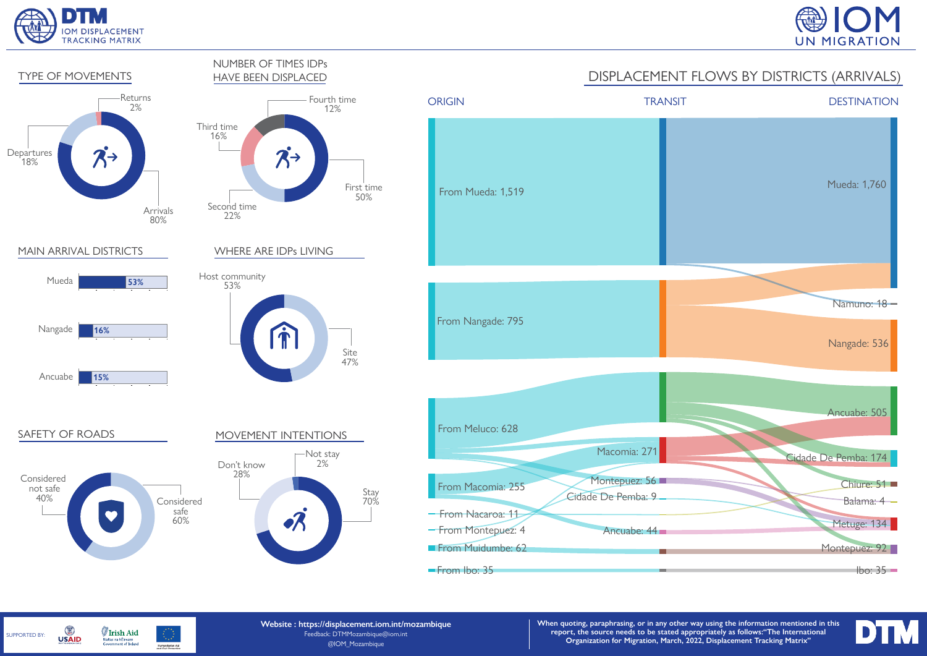

SUPPORTED BY:

G

**USAID** 

**Irish Aid** 

Rialtas na hÉireann<br>Government of Ireland





**Website : https://displacement.iom.int/mozambique** Feedback: DTMMozambique@iom.int @IOM\_Mozambique Humanitarian Aid<br>and Civil Protection

**When quoting, paraphrasing, or in any other way using the information mentioned in this report, the source needs to be stated appropriately as follows:"The International Organization for Migration, March, 2022, Displacement Tracking Matrix"**